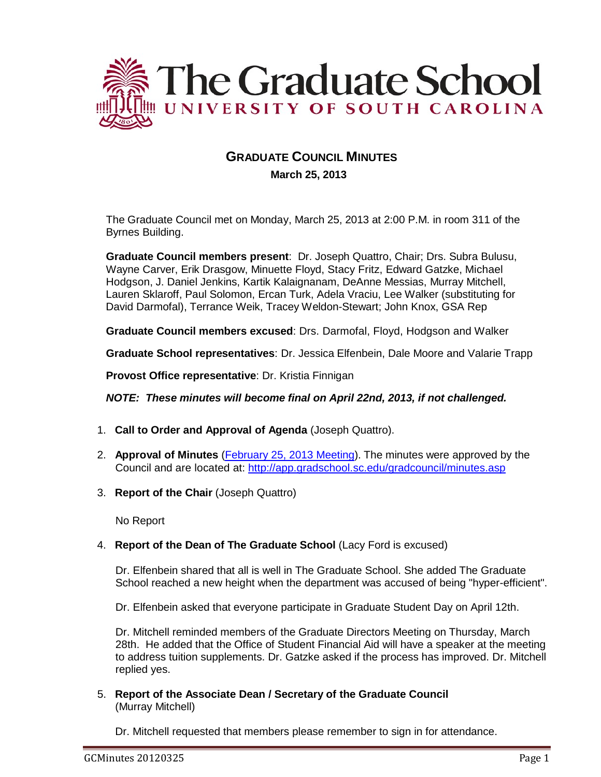

# **GRADUATE COUNCIL MINUTES March 25, 2013**

The Graduate Council met on Monday, March 25, 2013 at 2:00 P.M. in room 311 of the Byrnes Building.

**Graduate Council members present**: Dr. Joseph Quattro, Chair; Drs. Subra Bulusu, Wayne Carver, Erik Drasgow, Minuette Floyd, Stacy Fritz, Edward Gatzke, Michael Hodgson, J. Daniel Jenkins, Kartik Kalaignanam, DeAnne Messias, Murray Mitchell, Lauren Sklaroff, Paul Solomon, Ercan Turk, Adela Vraciu, Lee Walker (substituting for David Darmofal), Terrance Weik, Tracey Weldon-Stewart; John Knox, GSA Rep

**Graduate Council members excused**: Drs. Darmofal, Floyd, Hodgson and Walker

**Graduate School representatives**: Dr. Jessica Elfenbein, Dale Moore and Valarie Trapp

**Provost Office representative**: Dr. Kristia Finnigan

*NOTE: These minutes will become final on April 22nd, 2013, if not challenged.*

- 1. **Call to Order and Approval of Agenda** (Joseph Quattro).
- 2. **Approval of Minutes** (February [25, 2013 Meeting\)](http://gradschool.sc.edu/facstaff/gradcouncil/2012/Graduate%20Council%20Minutes%20February%2025,%202013%20u20130320.pdf). The minutes were approved by the Council and are located at: <http://app.gradschool.sc.edu/gradcouncil/minutes.asp>
- 3. **Report of the Chair** (Joseph Quattro)

No Report

4. **Report of the Dean of The Graduate School** (Lacy Ford is excused)

Dr. Elfenbein shared that all is well in The Graduate School. She added The Graduate School reached a new height when the department was accused of being "hyper-efficient".

Dr. Elfenbein asked that everyone participate in Graduate Student Day on April 12th.

Dr. Mitchell reminded members of the Graduate Directors Meeting on Thursday, March 28th. He added that the Office of Student Financial Aid will have a speaker at the meeting to address tuition supplements. Dr. Gatzke asked if the process has improved. Dr. Mitchell replied yes.

5. **Report of the Associate Dean / Secretary of the Graduate Council** (Murray Mitchell)

Dr. Mitchell requested that members please remember to sign in for attendance.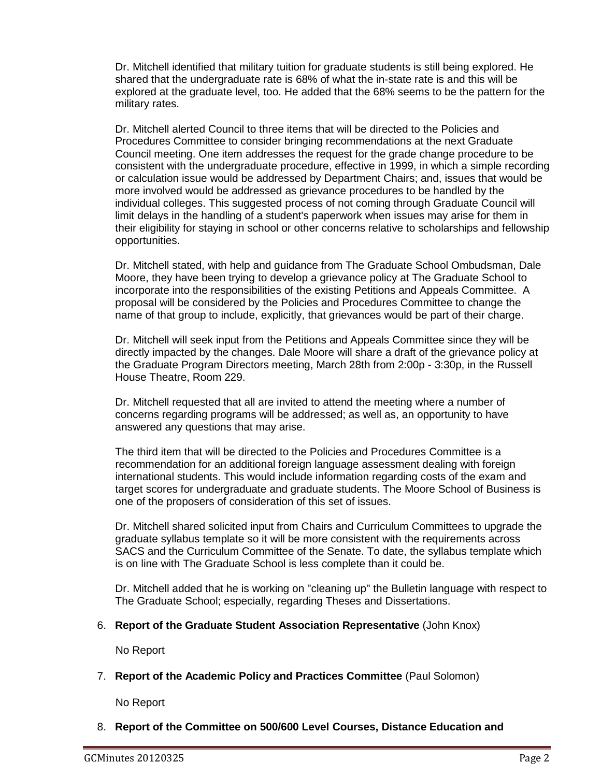Dr. Mitchell identified that military tuition for graduate students is still being explored. He shared that the undergraduate rate is 68% of what the in-state rate is and this will be explored at the graduate level, too. He added that the 68% seems to be the pattern for the military rates.

Dr. Mitchell alerted Council to three items that will be directed to the Policies and Procedures Committee to consider bringing recommendations at the next Graduate Council meeting. One item addresses the request for the grade change procedure to be consistent with the undergraduate procedure, effective in 1999, in which a simple recording or calculation issue would be addressed by Department Chairs; and, issues that would be more involved would be addressed as grievance procedures to be handled by the individual colleges. This suggested process of not coming through Graduate Council will limit delays in the handling of a student's paperwork when issues may arise for them in their eligibility for staying in school or other concerns relative to scholarships and fellowship opportunities.

Dr. Mitchell stated, with help and guidance from The Graduate School Ombudsman, Dale Moore, they have been trying to develop a grievance policy at The Graduate School to incorporate into the responsibilities of the existing Petitions and Appeals Committee. A proposal will be considered by the Policies and Procedures Committee to change the name of that group to include, explicitly, that grievances would be part of their charge.

Dr. Mitchell will seek input from the Petitions and Appeals Committee since they will be directly impacted by the changes. Dale Moore will share a draft of the grievance policy at the Graduate Program Directors meeting, March 28th from 2:00p - 3:30p, in the Russell House Theatre, Room 229.

Dr. Mitchell requested that all are invited to attend the meeting where a number of concerns regarding programs will be addressed; as well as, an opportunity to have answered any questions that may arise.

The third item that will be directed to the Policies and Procedures Committee is a recommendation for an additional foreign language assessment dealing with foreign international students. This would include information regarding costs of the exam and target scores for undergraduate and graduate students. The Moore School of Business is one of the proposers of consideration of this set of issues.

Dr. Mitchell shared solicited input from Chairs and Curriculum Committees to upgrade the graduate syllabus template so it will be more consistent with the requirements across SACS and the Curriculum Committee of the Senate. To date, the syllabus template which is on line with The Graduate School is less complete than it could be.

Dr. Mitchell added that he is working on "cleaning up" the Bulletin language with respect to The Graduate School; especially, regarding Theses and Dissertations.

## 6. **Report of the Graduate Student Association Representative** (John Knox)

No Report

# 7. **Report of the Academic Policy and Practices Committee** (Paul Solomon)

No Report

8. **Report of the Committee on 500/600 Level Courses, Distance Education and**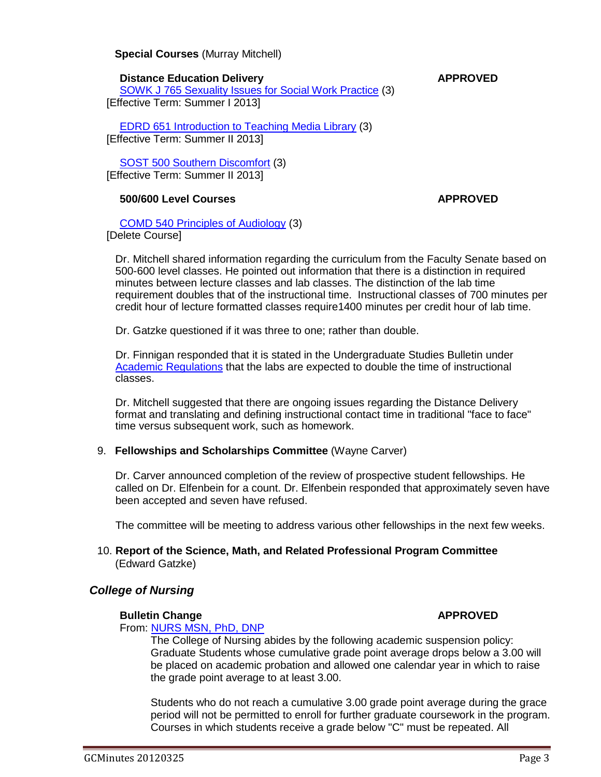# **Special Courses** (Murray Mitchell)

#### **Distance Education Delivery <b>APPROVED**

[SOWK J 765 Sexuality Issues for Social Work Practice](http://gradschool.sc.edu/facstaff/gradcouncil/2012/SOWK%20J%20765%20Sexuality%20Issues%20for%20Social%20Work%20Practice%20DED_Redacted.pdf) (3) [Effective Term: Summer I 2013]

[EDRD 651 Introduction to Teaching Media Library](http://gradschool.sc.edu/facstaff/gradcouncil/2012/EDRD%20651%20Introduction%20to%20Teaching%20Media%20Library%20DED.pdf) (3) [Effective Term: Summer II 2013]

[SOST 500 Southern Discomfort](http://gradschool.sc.edu/facstaff/gradcouncil/2012/SOST%20500%20Southern%20Discomfort%20DED%20u20130325_Redacted.pdf) (3) [Effective Term: Summer II 2013]

# **500/600 Level Courses APPROVED**

[COMD 540 Principles of Audiology](http://gradschool.sc.edu/facstaff/gradcouncil/2012/COMD%20705%20Language%20Disorders%20in%20Adults%20CCP.pdf) (3) [Delete Course]

Dr. Mitchell shared information regarding the curriculum from the Faculty Senate based on 500-600 level classes. He pointed out information that there is a distinction in required minutes between lecture classes and lab classes. The distinction of the lab time requirement doubles that of the instructional time. Instructional classes of 700 minutes per credit hour of lecture formatted classes require1400 minutes per credit hour of lab time.

Dr. Gatzke questioned if it was three to one; rather than double.

Dr. Finnigan responded that it is stated in the Undergraduate Studies Bulletin under [Academic Regulations](http://bulletin.sc.edu/content.php?catoid=36&navoid=4233) that the labs are expected to double the time of instructional classes.

Dr. Mitchell suggested that there are ongoing issues regarding the Distance Delivery format and translating and defining instructional contact time in traditional "face to face" time versus subsequent work, such as homework.

## 9. **Fellowships and Scholarships Committee** (Wayne Carver)

Dr. Carver announced completion of the review of prospective student fellowships. He called on Dr. Elfenbein for a count. Dr. Elfenbein responded that approximately seven have been accepted and seven have refused.

The committee will be meeting to address various other fellowships in the next few weeks.

## 10. **Report of the Science, Math, and Related Professional Program Committee** (Edward Gatzke)

# *College of Nursing*

## **Bulletin Change APPROVED**

From: [NURS MSN, PhD, DNP](http://gradschool.sc.edu/facstaff/gradcouncil/2012/NURS%20MSN,%20PhD,%20DNP%20BCH_Redacted.pdf)

The College of Nursing abides by the following academic suspension policy: Graduate Students whose cumulative grade point average drops below a 3.00 will be placed on academic probation and allowed one calendar year in which to raise the grade point average to at least 3.00.

Students who do not reach a cumulative 3.00 grade point average during the grace period will not be permitted to enroll for further graduate coursework in the program. Courses in which students receive a grade below "C" must be repeated. All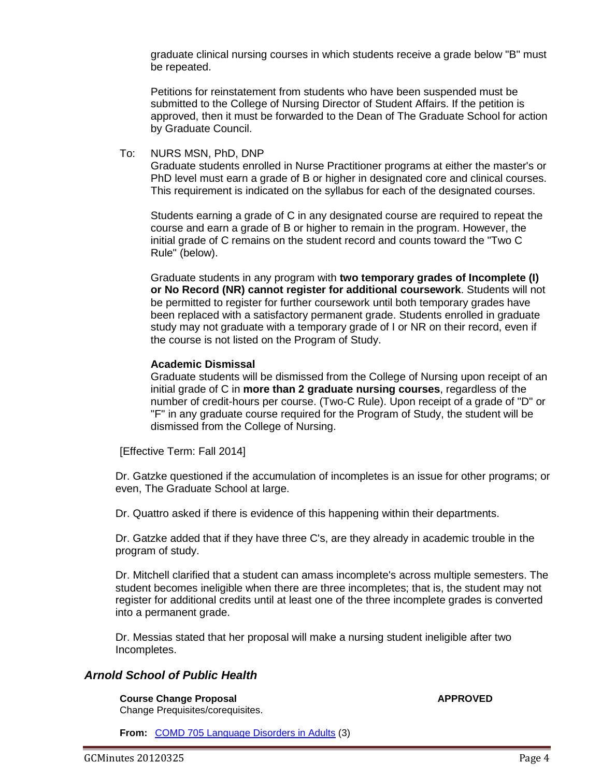graduate clinical nursing courses in which students receive a grade below "B" must be repeated.

Petitions for reinstatement from students who have been suspended must be submitted to the College of Nursing Director of Student Affairs. If the petition is approved, then it must be forwarded to the Dean of The Graduate School for action by Graduate Council.

To: NURS MSN, PhD, DNP Graduate students enrolled in Nurse Practitioner programs at either the master's or PhD level must earn a grade of B or higher in designated core and clinical courses. This requirement is indicated on the syllabus for each of the designated courses.

Students earning a grade of C in any designated course are required to repeat the course and earn a grade of B or higher to remain in the program. However, the initial grade of C remains on the student record and counts toward the "Two C Rule" (below).

Graduate students in any program with **two temporary grades of Incomplete (I) or No Record (NR) cannot register for additional coursework**. Students will not be permitted to register for further coursework until both temporary grades have been replaced with a satisfactory permanent grade. Students enrolled in graduate study may not graduate with a temporary grade of I or NR on their record, even if the course is not listed on the Program of Study.

#### **Academic Dismissal**

Graduate students will be dismissed from the College of Nursing upon receipt of an initial grade of C in **more than 2 graduate nursing courses**, regardless of the number of credit-hours per course. (Two-C Rule). Upon receipt of a grade of "D" or "F" in any graduate course required for the Program of Study, the student will be dismissed from the College of Nursing.

[Effective Term: Fall 2014]

Dr. Gatzke questioned if the accumulation of incompletes is an issue for other programs; or even, The Graduate School at large.

Dr. Quattro asked if there is evidence of this happening within their departments.

Dr. Gatzke added that if they have three C's, are they already in academic trouble in the program of study.

Dr. Mitchell clarified that a student can amass incomplete's across multiple semesters. The student becomes ineligible when there are three incompletes; that is, the student may not register for additional credits until at least one of the three incomplete grades is converted into a permanent grade.

Dr. Messias stated that her proposal will make a nursing student ineligible after two Incompletes.

## *Arnold School of Public Health*

**Course Change Proposal <b>APPROVED APPROVED** Change Prequisites/corequisites.

**From:** [COMD 705 Language Disorders in Adults](http://gradschool.sc.edu/facstaff/gradcouncil/2012/COMD%20705%20Language%20Disorders%20in%20Adults%20CCP.pdf) (3)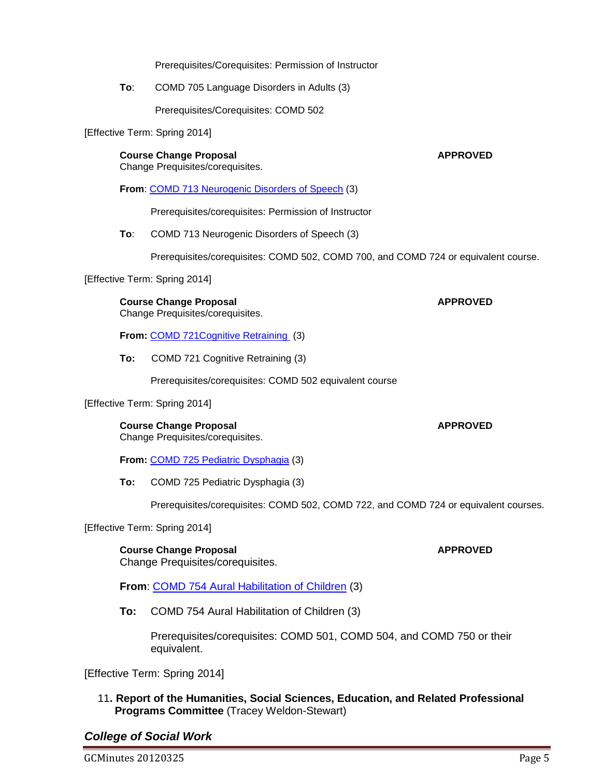Prerequisites/Corequisites: Permission of Instructor

**To**: COMD 705 Language Disorders in Adults (3)

Prerequisites/Corequisites: COMD 502

[Effective Term: Spring 2014]

**Course Change Proposal APPROVED** Change Prequisites/corequisites.

**From**: [COMD 713 Neurogenic Disorders of Speech](http://gradschool.sc.edu/facstaff/gradcouncil/2012/COMD%20713%20Neurogenic%20Disorders%20of%20Speech%20CCP.pdf) (3)

Prerequisites/corequisites: Permission of Instructor

**To**: COMD 713 Neurogenic Disorders of Speech (3)

Prerequisites/corequisites: COMD 502, COMD 700, and COMD 724 or equivalent course.

[Effective Term: Spring 2014]

**Course Change Proposal <b>APPROVED** 

Change Prequisites/corequisites.

**From: COMD 721 Cognitive Retraining (3)** 

**To:** COMD 721 Cognitive Retraining (3)

Prerequisites/corequisites: COMD 502 equivalent course

#### [Effective Term: Spring 2014]

**Course Change Proposal <b>APPROVED** Change Prequisites/corequisites.

**From:** [COMD 725 Pediatric Dysphagia](http://gradschool.sc.edu/facstaff/gradcouncil/2012/COMD%20725%20Pediatric%20Dysphagia%20CCP.pdf) (3)

**To:** COMD 725 Pediatric Dysphagia (3)

Prerequisites/corequisites: COMD 502, COMD 722, and COMD 724 or equivalent courses.

[Effective Term: Spring 2014]

**Course Change Proposal <b>APPROVED** Change Prequisites/corequisites.

**From**: [COMD 754 Aural Habilitation of Children](http://gradschool.sc.edu/facstaff/gradcouncil/2012/COMD%20754%20Aural%20Habilitation%20of%20Children%20CCP.pdf) (3)

**To:** COMD 754 Aural Habilitation of Children (3)

Prerequisites/corequisites: COMD 501, COMD 504, and COMD 750 or their equivalent.

[Effective Term: Spring 2014]

11**. Report of the Humanities, Social Sciences, Education, and Related Professional Programs Committee** (Tracey Weldon-Stewart)